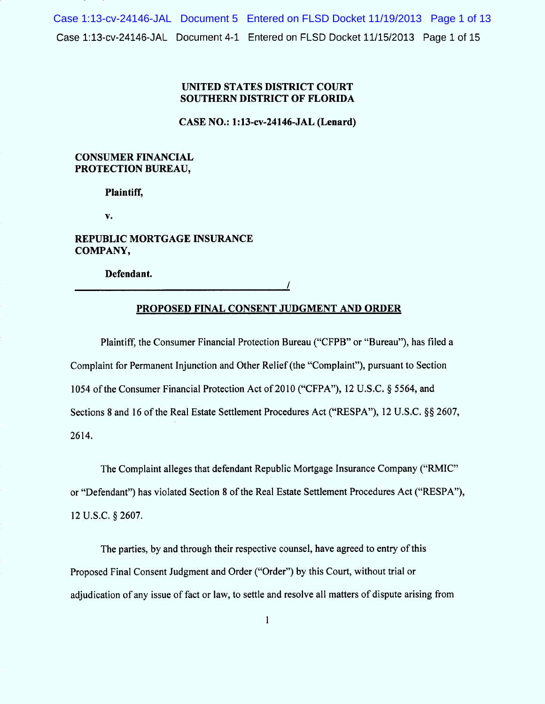Case 1:13-cv-24146-JAL Document 4-1 Entered on FLSD Docket 11/15/2013 Page 1 of 15 Case 1:13-cv-24146-JAL Document 5 Entered on FLSD Docket 11/19/2013 Page 1 of 13

## UNITED STATES DISTRICT COURT SOUTHERN DISTRICT OF FLORIDA

CASE NO.: 1:13-cv-24146-JAL (Lenard)

## **CONSUMER FINANCIAL** PROTECTION BUREAU,

Plaintiff,

V.

REPUBLIC MORTGAGE INSURANCE COMPANY,

Defendant.

/

# PROPOSED FINAL CONSENT JUDGMENT AND ORDER

Plaintiff, the Consumer Financial Protection Bureau ("CFPB" or "Bureau"), has filed a Complaint for Permanent Injunction and Other Relief (the "Complaint"), pursuant to Section 1054 of the Consumer Financial Protection Act of 2010 ("CFPA"), 12 U.S.C.  $\S$  5564, and Sections 8 and 16 of the Real Estate Settlement Procedures Act ("RESPA"), 12 U.S.C. §§ 2607, 2614.

The Complaint alleges that defendant Republic Mortgage Insurance Company ("RMIC" or "Defendant") has violated Section 8 of the Real Estate Settlement Procedures Act ("RESPA"), 12 U.S.C. § 2607.

The parties, by and through their respective counsel, have agreed to entry of this Proposed Final Consent Judgment and Order ("Order") by this Court, without trial or adjudication of any issue of fact or law, to settle and resolve all matters of dispute arising from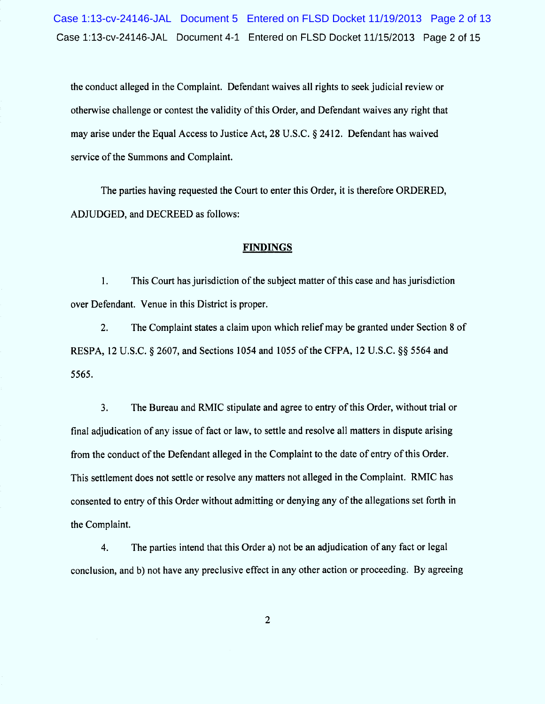Case 1:13-cv-24146-JAL Document 4-1 Entered On FLSD Docket 11/15/2013 Page 2 of 15 Case 1:13-cv-24146-JAL Document 5 Entered on FLSD Docket 11/19/2013 Page 2 of 13

the conduct alleged in the Complaint. Defendant waives all rights to seekjudicial review or otherwise challenge or contest the validity of this Order, and Defendant waives any right that may arise under the Equal Access to Justice Act, 28 U.S.C. § 2412. Defendant has waived service of the Summons and Complaint.

The parties having requested the Court to enter this Order, it is therefore ORDERED, ADJUDGED, and DECREED as follows:

### **FINDINGS**

 $1.$ This Court has jurisdiction of the subject matter of this case and has jurisdiction over Defendant. Venue in this District is proper.

2. The Complaint states a claim upon which relief may be granted under Section 8 of RESPA, 12 U.S.C. § 2607, and Sections 1054 and 1055 of the CFPA, 12 U.S.C. §  $$564$  and 5565.

 $3.$ The Bureau and RMIC stipulate and agree to entry of this Order, without trial or final adjudication of any issue of fact or law, to settle and resolve all matters in dispute arising from the conduct of the Defendant alleged in the Complaint to the date of entry of this Order. This settlement does not settle or resolve any matters not alleged in the Complaint. RMIC has consented to entry of this Order without admitting or denying any of the allegations set forth in the Complaint.

4. The parties intend that this Order a) not be an adjudication of any fact or legal conclusion, and b) not have any preclusive effect in any other action or proceeding. By agreeing

2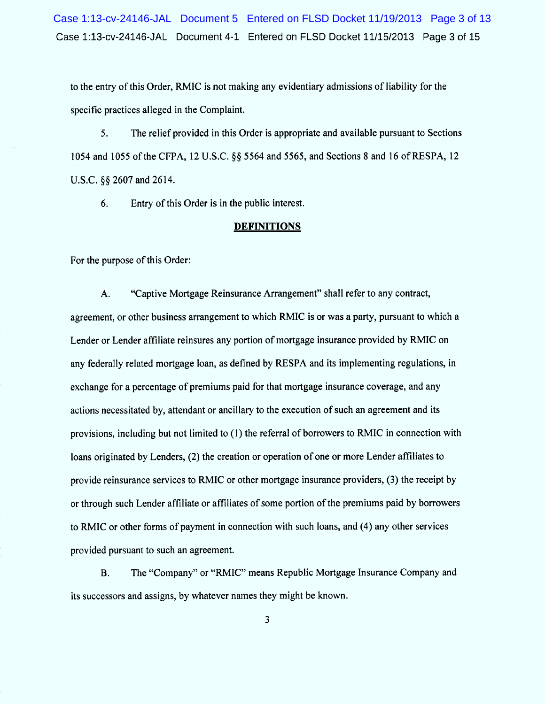Case 1:13-cv-24146-JAL Document 4-1 Entered on FLSD Docket 11/15/2013 Page 3 of 15 Case 1:13-cv-24146-JAL Document 5 Entered on FLSD Docket 11/19/2013 Page 3 of 13

to the entry of this Order, RMIC is not making any evidentiary admissions of liability for the specific practices alleged in the Complaint.

5. The relief provided in this Order is appropriate and available pursuant to Sections 1054 and 1055 of the CFPA, 12 U.S.C. §§ 5564 and 5565, and Sections 8 and 16 of RESPA, 12 U.S.C. §§ 2607 and 2614.

6. Entry of this Order is in the public interest.

#### **DEFINITIONS**

For the purpose of this Order:

A. "Captive Mortgage Reinsurance Arrangement" shall refer to any contract, agreement, or other business arrangement to which RMIC is or was a party, pursuant to which a Lender or Lender affiliate reinsures any portion of mortgage insurance provided by RMIC on any federally related mortgage loan, as defined by RESPA and its implementing regulations, in exchange for a percentage of premiums paid for that mortgage insurance coverage, and any actions necessitated by, attendant or ancillary to the execution of such an agreement and its provisions, including but not limited to (1) the referral of borrowers to RM IC in connection with loans originated by Lenders, (2) the creation or operation of one or more Lender affiliates to provide reinsurance services to RMIC or other mortgage insurance providers, (3) the receipt by or through such Lender affiliate or affiliates of some portion of the premiums paid by borrowers to RMIC or other forms of payment in connection with such Ioans, and (4) any other services provided pursuant to such an agreement.

B. The "Company" or "RMIC" means Republic Mortgage Insurance Company and its successors and assigns, by whatever names they might be known.

 $\overline{\mathbf{3}}$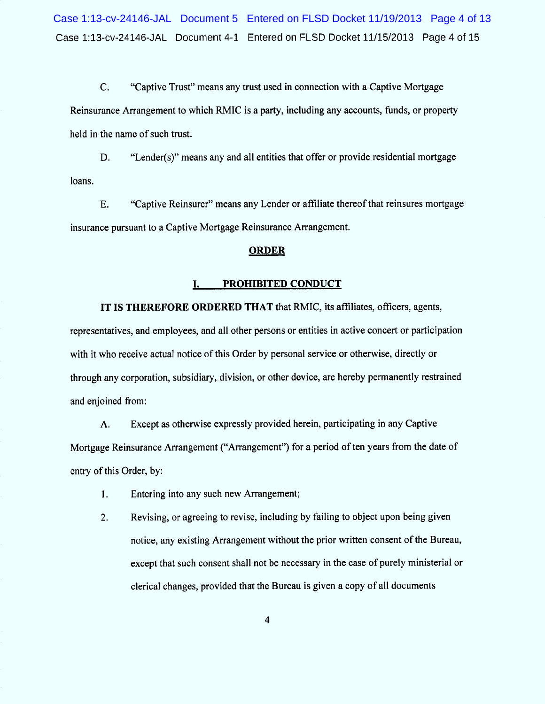C. "Captive Trust" means any trust used in connection with a Captive Mortgage Reinsurance Arrangement to which RMIC is a party, including any accounts, funds, or property held in the name of such trust.

D. "Lender(s)" means any and all entities that offer or provide residential mortgage loans.

E. "Captive Reinsurer" means any Lender or affiliate thereof that reinsures mortgage insurance pursuant to a Captive Mortgage Reinsurance Arrangement.

## **ORDER**

### I. PROHIBITED CONDUCT

IT IS THEREFORE ORDERED THAT that RMIC, its affiliates, officers, agents, representatives, and employees, and all other persons or entities in active concert or participation with it who receive actual notice of this Order by personal service or otherwise, directly or through any corporation, subsidiary, division, or other device, are hereby permanently restrained and enjoined from:

A. Except as otherwise expressly provided herein, participating in any Captive Mortgage Reinsurance Arrangement ("Arrangement") for a period of ten years from the date of entry of this Order, by:

- $1.$ Entering into any such new Arrangement;
- Revising, or agreeing to revise, including by failing to object upon being given notice, any existing Arrangement without the prior written consent of the Bureau, except that such consent shall not be necessary in the case of purely ministerial or clerical changes, provided that the Bureau is given a copy of all documents 2.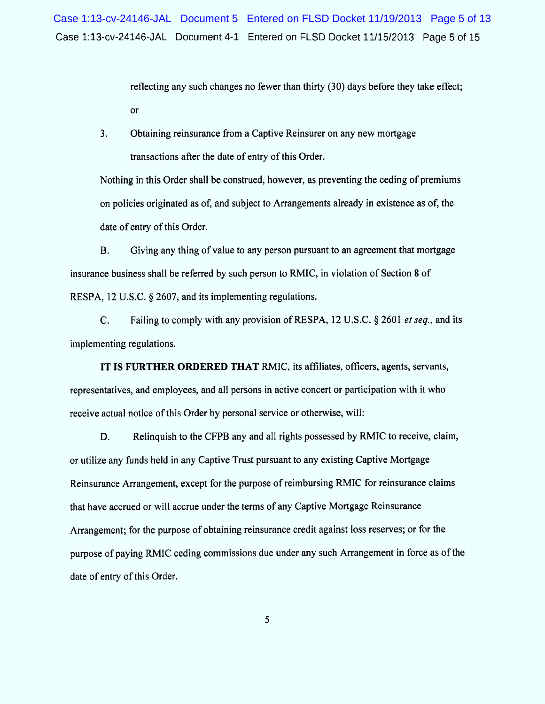retlecting any such changes no fewer than thirty (30) days before they take effect; or

Obtaining reinsurance from a Captive Reinsurer on any new mortgage transactions after the date of entry of this Order. 3.

Nothing in this Order shall be construed, however, as preventing the ceding of premiums on policies originated as of, and subject to Arrangements already in existence as of, the date of entry of this Order.

B. Giving any thing of value to any person pursuant to an agreement that mortgage insurance business shall be referred by such person to RMIC, in violation of Section 8 of RESPA, 12 U.S.C.  $\S$  2607, and its implementing regulations.

 $C_{\cdot}$ Failing to comply with any provision of RESPA, 12 U.S.C.  $\S$  2601 *et seq.*, and its implementing regulations.

IT IS FURTHER ORDERED THAT RMIC, its affiliates, officers, agents, servants, representatives, and employees, and all persons in active concert or participation with it who receive actual notice of this Order by personal service or otherwise, will:

D. Relinquish to the CFPB any and all rights possessed by RMIC to receive, claim, or utilize any funds held in any Captive Trust pursuant to any existing Captive M ortgage Reinsurance Arrangement, except for the purpose of reimbursing RMIC for reinsurance claims that have accrued or will accrue under the terms of any Captive Mortgage Reinsurance Arrangement; for the purpose of obtaining reinsurance credit against loss reserves; or for the purpose of paying RMIC ceding commissions due under any such Arrangement in force as of the date of entry of this Order.

5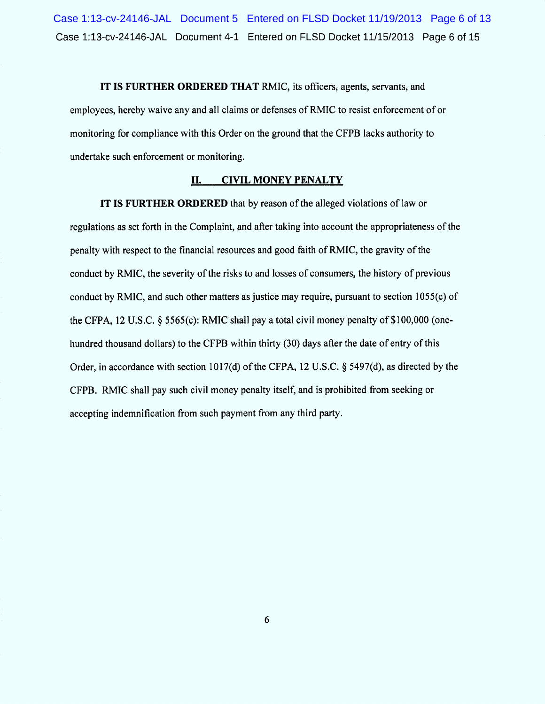Case 1:13-cv-24146-JAL Document 4-1 Entered on FLSD Docket 11/15/2013 Page 6 of 15 Case 1:13-cv-24146-JAL Document 5 Entered on FLSD Docket 11/19/2013 Page 6 of 13

IT IS FURTHER ORDERED THAT RMIC, its officers, agents, servants, and employees, hereby waive any and all claims or defenses of RMIC to resist enforcement of or monitoring for compliance with this Order on the ground that the CFPB lacks authority to undertake such enforcement or monitoring,

#### II. CIVIL MONEY PENALTY

IT IS FURTHER ORDERED that by reason of the alleged violations of law or regulations as set forth in the Complaint, and after taking into account the appropriateness of the penalty with respect to the financial resources and good faith of RM IC, the gravity of the conduct by RM IC, the severity of the risks to and losses of consumers, the history of previous conduct by RMIC, and such other matters as justice may require, pursuant to section 1055(c) of the CFPA, 12 U.S.C.  $\frac{5565(c)}{RMC}$  shall pay a total civil money penalty of \$100,000 (onehundred thousand dollars) to the CFPB within thirty  $(30)$  days after the date of entry of this Order, in accordance with section 1017(d) of the CFPA, 12 U.S.C.  $\S$  5497(d), as directed by the CFPB. RM IC shall pay such civil money penalty itself, and is prohibited from seeking or accepting indemnification from such payment from any third party.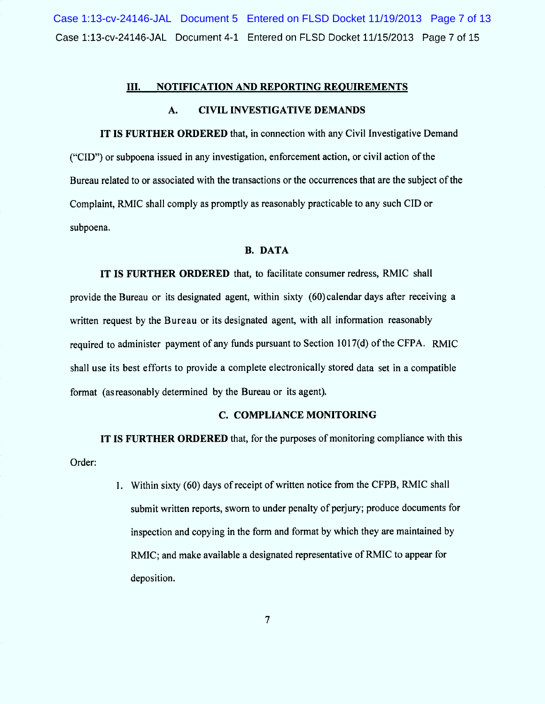case 1:13-cv-24146-JAL Document 4-1 Entered on FLSD Docket 11/15/2013 Page 7 of 15 Case 1:13-cv-24146-JAL Document 5 Entered on FLSD Docket 11/19/2013 Page 7 of 13

#### 111. NOTIFICATION AND REPORTING REQUIREMENTS

## A. CIVIL INVESTIGATIVE DEMANDS

IT IS FURTHER ORDERED that, in connection with any Civil Investigative Demand (EClD'') or subpoena issued in any investigation, enforcement action, or civil action of the Bureau related to or associated with the transactions or the occurrences that are the subject of the Complaint, RMIC shall comply as promptly as reasonably practicable to any such CID or subpoena.

## B. DATA

IT IS FURTHER ORDERED that, to facilitate consumer redress, RMIC shall provide the Bureau Or its designated agent, within sixty (60) calendar days after receiving a written request by the Bureau or its designated agent, with all information reasonably required to administer payment of any funds pursuant to Section 1017(d) of the CFPA. RMIC shall use its best efforts to provide a complete electronically stored data set in a compatible format (asreasonably determined by the Bureau or its agent).

#### C. COMPLIANCE MONITORING

IT IS FURTHER ORDERED that, for the purposes of monitoring compliance with this Order:

> Within sixty (60) days of receipt of written notice from the CFPB, RMIC shall submit written reports, sworn to under penalty of perjury; produce documents for inspection and copying in the form and format by which they are maintained by RMIC; and make available a designated representative of RMIC to appear for deposition.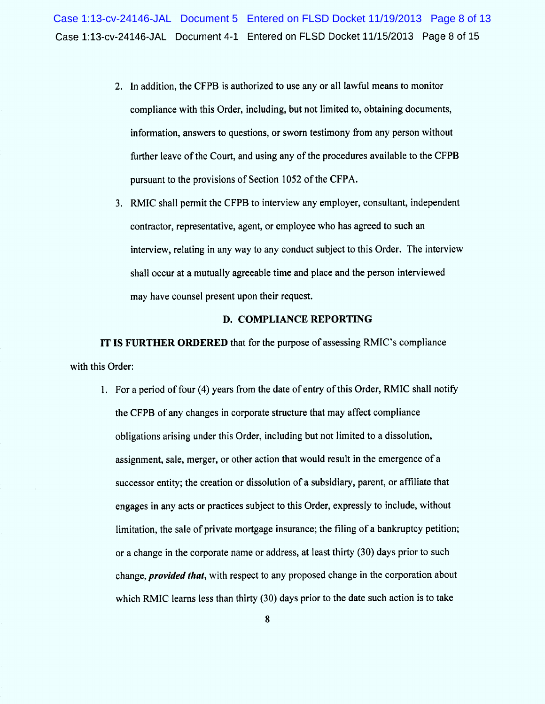- 2. ln addition, the CFPB is authorized to use any or al1 lawful means to monitor compliance with this Order, including, but not limited to, obtaining documents, information, answers to questions, or sworn testimony from any person without further leave of the Court, and using any of the procedures available to the CFPB pursuant to the provisions of Section 1052 of the CFPA.
- 3. RMIC shall permit the CFPB to interview any employer, consultant, independent contractor, representative, agent, or employee who has agreed to such an interview, relating in any way to any conduct subject to this Order. The interview shall occur at a mutually agreeable time and place and the person interviewed may have counsel present upon their request.

## D. COMPLIANCE REPORTING

IT IS FURTHER ORDERED that for the purpose of assessing RMIC's compliance with this Order:

1. For a period of four (4) years from the date of entry of this Order, RMIC shall notify the CFPB of any changes in corporate structure that may affect compliance obligations arising under this Order, including but not limited to a dissolution, assignment, sale, merger, or other action that would result in the emergence of a successor entity; the creation or dissolution of a subsidiary, parent, or affiliate that engages in any acts or practices subject to this Order, expressly to include, without limitation, the sale of private mortgage insurance; the filing of a bankruptcy petition; or a change in the corporate name or address, at least thirty (30) days prior to such change, *provided that*, with respect to any proposed change in the corporation about which RMIC learns less than thirty (30) days prior to the date such action is to take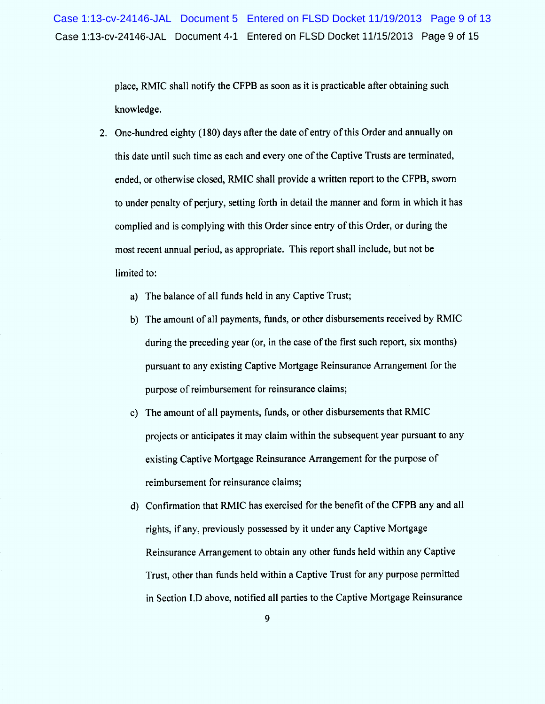Case 1:13-cv-24146-JAL Document 4-1 Entered On FLSD Docket 11/15/2013 Page 9 of 15 Case 1:13-cv-24146-JAL Document 5 Entered on FLSD Docket 11/19/2013 Page 9 of 13

> place, RM IC shall notify the CFPB as soon as it is practicable after obtaining such knowledge.

- 2. One-hundred eighty (180) days after the date of entry of this Order and annually on this date until such time as each and every one of the Captive Trusts are terminated, ended, or otherwise closed, RMIC shall provide a written report to the CFPB, sworn to under penalty of perjury, setting forth in detail the manner and form in which it has complied and is complying with this Order since entry of this Order, or during the most recent annual period, as appropriate. This report shall include, but not be limited to:
	- a) The balance of all funds held in any Captive Trust;
	- b) The amount of all payments, funds, or other disbursements received by RMIC during the preceding year (or, in the case of the first such report, six months) pursuant to any existing Captive Mortgage Reinsurance Arrangement for the purpose of reimbursement for reinsurance claims;
	- c) The amount of all payments, funds, or other disbursements that RMIC projects or anticipates it may claim within the subsequent year pursuant to any existing Captive Mortgage Reinsurance Arrangement for the purpose of reimbursement for reinsurance claims;
	- d) Confirmation that RMIC has exercised for the benefit of the CFPB any and al1 rights, if any, previously possessed by it under any Captive Mortgage Reinsurance Arrangement to obtain any other funds held within any Captive Trust, other than funds held within a Captive Trust for any purpose permitted in Section I.D above, notified all parties to the Captive Mortgage Reinsurance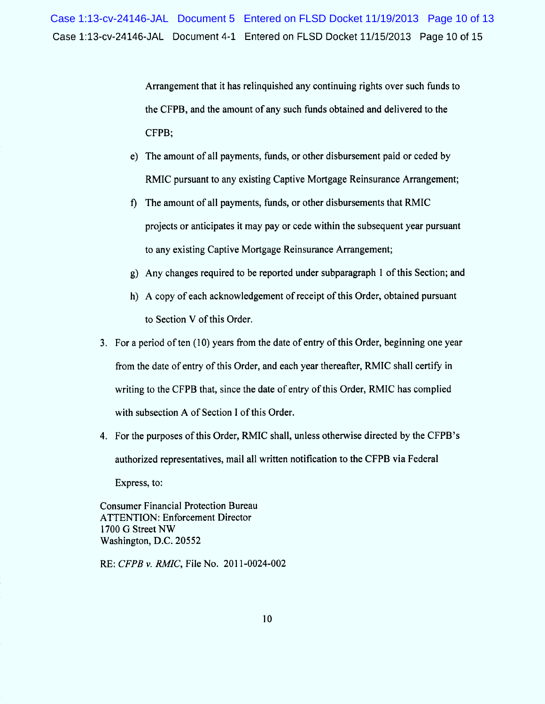Case 1:13-cv-24146-JAL Document 4-1 Entered on FLSD Docket 11/15/2013 Page 10 of 15 Case 1:13-cv-24146-JAL Document 5 Entered on FLSD Docket 11/19/2013 Page 10 of 13

> Arrangement that it has relinquished any continuing rights over such funds to the CFPB, and the amount of any such funds obtained and delivered to the CFPB;

- e) The amount of all payments, funds, or other disbursement paid or ceded by RMIC pursuant to any existing Captive Mortgage Reinsurance Arrangement;
- 9 The amount of all payments, funds, or other disbursements that RMIC projects or anticipates it may pay or cede within the subsequent year pursuant to any existing Captive Mortgage Reinsurance Arrangement;
- g) Any changes required to be reported under subparagraph 1 of this Section; and
- h) A copy of each acknowledgement of receipt of this Order, obtained pursuant to Section V of this Order.
- 3. For a period of ten (10) years from the date of entry of this Order, beginning one year from the date of entry of this Order, and each year thereafter, RMIC shall certify in writing to the CFPB that, since the date of entry of this Order, RMIC has complied with subsection A of Section I of this Order.
- 4. For the purposes of this Order, RMIC shall, unless otherwise directed by the CFPB's authorized representatives, mail all written notification to the CFPB via Federal

Express, to:

Consumer Financial Protection Bureau ATTENTION: Enforcement Director 1700 G Street NW Washington, D.C. 20552

RE: CFPB v. RMIC, File No. 2011-0024-002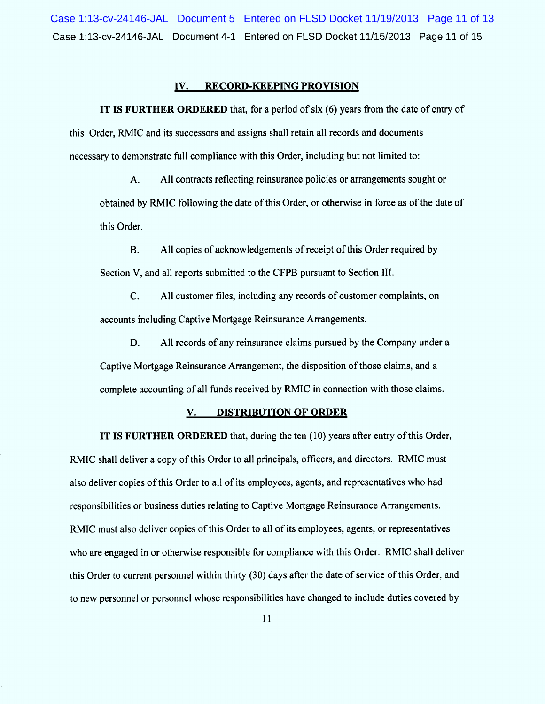Case 1:13-cv-24146-JAL Document 4-1 Entered on FLSD Docket 11/15/2013 Page 11 of 15 Case 1:13-cv-24146-JAL Document 5 Entered on FLSD Docket 11/19/2013 Page 11 of 13

### IV. RECORD-KEEPING PROVISION

IT IS FURTHER ORDERED that, for a period of six  $(6)$  years from the date of entry of this Order, RMIC and its successors and assigns shall retain all records and documents necessary to demonstrate full compliance with this Order, including but not limited to:

A. All contracts reflecting reinsurance policies or arrangements sought or obtained by RM IC following the date of this Order, or otherwise in force as of the date of this Order.

B. A1l copies of acknowledgements of receipt of this Order required by Section V, and all reports submitted to the CFPB pursuant to Section III.

C. A1l customer files, including any records of customer complaints, on accounts including Captive Mortgage Reinsurance Arrangements.

D. A11 records of any reinsurance claims pursued by the Company under a Captive Mortgage Reinsurance Arrangement, the disposition of those claims, and a complete accounting of all funds received by RMIC in connection with those claims.

### V. DISTRIBUTION OF ORDER

IT IS FURTHER ORDERED that, during the ten (10) years after entry of this Order, RMIC shall deliver a copy of this Order to all principals, officers, and directors. RMIC must also deliver copies of this Order to all of its employees, agents, and representatives who had responsibilities or business duties relating to Captive Mortgage Reinsurance Arrangements. RMIC must also deliver copies of this Order to all of its employees, agents, or representatives who are engaged in or otherwise responsible for compliance with this Order. RMIC shall deliver this Order to current personnel within thirty (30) days after the date of service of this Order, and to new personnel or personnel whose responsibilities have changed to include duties covered by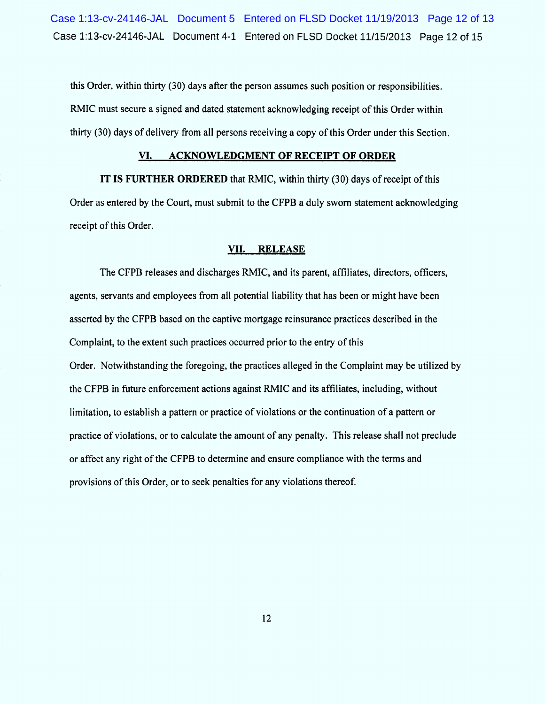Case 1:13-cv-24146-JAL Document 4-1 Entered on FLSD Docket 11/15/2013 Page 12 of 15 Case 1:13-cv-24146-JAL Document 5 Entered on FLSD Docket 11/19/2013 Page 12 of 13

this Order, within thirty (30) days aher the person assumes such position or responsibilities. RMIC must secure a signed and dated statement acknowledging receipt of this Order within thirty (30) days of delivery from all persons receiving a copy of this Order under this Section.

#### VI. ACKNOWLEDGMENT OF RECEIPT OF ORDER

IT IS FURTHER ORDERED that RMIC, within thirty (30) days of receipt of this Order as entered by the Court, must submit to the CFPB a duly sworn statement acknowledging receipt of this Order.

#### VII. RELEASE

The CFPB releases and discharges RMIC, and its parent, affiliates, directors, officers, agents, servants and employees from all potential liability that has been or might have been asserted by the CFPB based on the captive m ortgage reinsurance practices described in the Complaint, to the extent such practices occurred prior to the entry of this Order. Notwithstanding the foregoing, the practices alleged in the Complaint may be utilized by the CFPB in future enforcement actions against RMIC and its affiliates, including, without limitation, to establish a pattern or practice of violations or the continuation of a pattern or practice of violations, or to calculate the am ount of any penalty. This release shall not preclude or affect any right of the CFPB to determine and ensure compliance with the terms and provisions of this Order, or to seek penalties for any violations thereof